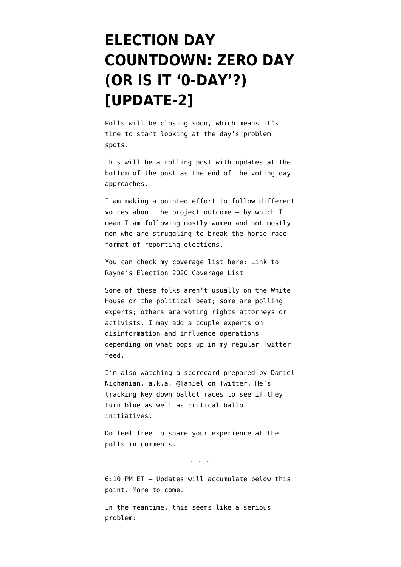## **[ELECTION DAY](https://www.emptywheel.net/2020/11/03/election-day-countdown-zero-day-or-is-it-0-day/) [COUNTDOWN: ZERO DAY](https://www.emptywheel.net/2020/11/03/election-day-countdown-zero-day-or-is-it-0-day/) [\(OR IS IT '0-DAY'?\)](https://www.emptywheel.net/2020/11/03/election-day-countdown-zero-day-or-is-it-0-day/) [\[UPDATE-2\]](https://www.emptywheel.net/2020/11/03/election-day-countdown-zero-day-or-is-it-0-day/)**

Polls will be closing soon, which means it's time to start looking at the day's problem spots.

This will be a rolling post with updates at the bottom of the post as the end of the voting day approaches.

I am making a pointed effort to follow different voices about the project outcome — by which I mean I am following mostly women and not mostly men who are struggling to break the horse race format of reporting elections.

You can check my coverage list here: [Link to](https://twitter.com/i/lists/1323724188641841155) [Rayne's Election 2020 Coverage List](https://twitter.com/i/lists/1323724188641841155)

Some of these folks aren't usually on the White House or the political beat; some are polling experts; others are voting rights attorneys or activists. I may add a couple experts on disinformation and influence operations depending on what pops up in my regular Twitter feed.

I'm also [watching a scorecard](https://twitter.com/Taniel/status/1323323163565035525) prepared by Daniel Nichanian, a.k.a. @Taniel on Twitter. He's tracking key down ballot races to see if they turn blue as well as critical ballot initiatives.

Do feel free to share your experience at the polls in comments.

 $\sim$  ~ ~

6:10 PM ET — Updates will accumulate below this point. More to come.

In the meantime, this seems like a serious problem: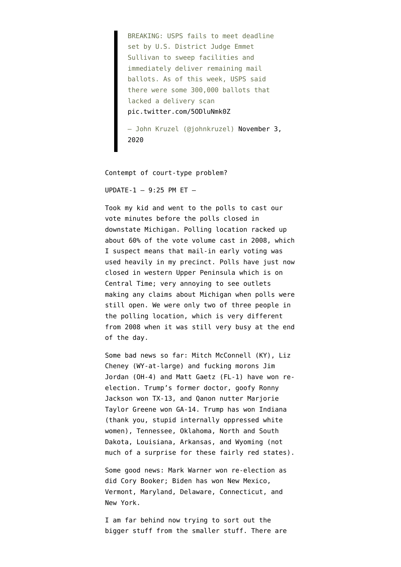BREAKING: USPS fails to meet deadline set by U.S. District Judge Emmet Sullivan to sweep facilities and immediately deliver remaining mail ballots. As of this week, USPS said there were some 300,000 ballots that lacked a delivery scan [pic.twitter.com/5ODluNmk0Z](https://t.co/5ODluNmk0Z)

— John Kruzel (@johnkruzel) [November 3,](https://twitter.com/johnkruzel/status/1323740631081062400?ref_src=twsrc%5Etfw) [2020](https://twitter.com/johnkruzel/status/1323740631081062400?ref_src=twsrc%5Etfw)

Contempt of court-type problem?

UPDATE- $1 - 9:25$  PM ET  $-$ 

Took my kid and went to the polls to cast our vote minutes before the polls closed in downstate Michigan. Polling location racked up about 60% of the vote volume cast in 2008, which I suspect means that mail-in early voting was used heavily in my precinct. Polls have just now closed in western Upper Peninsula which is on Central Time; very annoying to see outlets making any claims about Michigan when polls were still open. We were only two of three people in the polling location, which is very different from 2008 when it was still very busy at the end of the day.

Some bad news so far: Mitch McConnell (KY), Liz Cheney (WY-at-large) and fucking morons Jim Jordan (OH-4) and Matt Gaetz (FL-1) have won reelection. Trump's former doctor, goofy Ronny Jackson won TX-13, and Qanon nutter Marjorie Taylor Greene won GA-14. Trump has won Indiana (thank you, stupid internally oppressed white women), Tennessee, Oklahoma, North and South Dakota, Louisiana, Arkansas, and Wyoming (not much of a surprise for these fairly red states).

Some good news: Mark Warner won re-election as did Cory Booker; Biden has won New Mexico, Vermont, Maryland, Delaware, Connecticut, and New York.

I am far behind now trying to sort out the bigger stuff from the smaller stuff. There are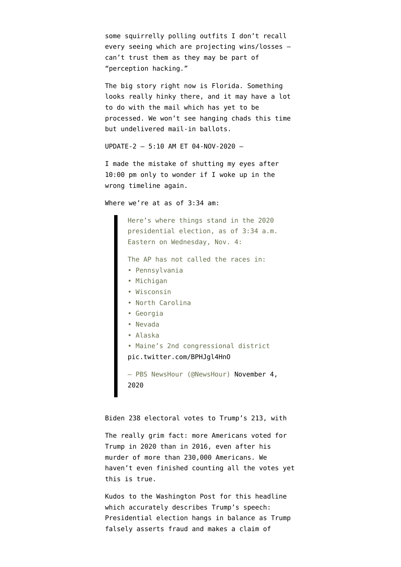some squirrelly polling outfits I don't recall every seeing which are projecting wins/losses can't trust them as they may be part of "perception hacking."

The big story right now is Florida. Something looks really hinky there, and it may have a lot to do with the mail which has yet to be processed. We won't see hanging chads this time but undelivered mail-in ballots.

```
UPDATE-2 — 5:10 AM ET 04-NOV-2020 —
```
I made the mistake of shutting my eyes after 10:00 pm only to wonder if I woke up in the wrong timeline again.

Where we're at as of 3:34 am:

Here's where things stand in the 2020 presidential election, as of 3:34 a.m. Eastern on Wednesday, Nov. 4:

The AP has not called the races in:

- Pennsylvania
- Michigan
- Wisconsin
- North Carolina
- Georgia
- Nevada
- Alaska
- Maine's 2nd congressional district

```
pic.twitter.com/BPHJgl4HnO
```
— PBS NewsHour (@NewsHour) [November 4,](https://twitter.com/NewsHour/status/1323906446535393286?ref_src=twsrc%5Etfw) [2020](https://twitter.com/NewsHour/status/1323906446535393286?ref_src=twsrc%5Etfw)

Biden 238 electoral votes to Trump's 213, with

The really grim fact: more Americans voted for Trump in 2020 than in 2016, even after his murder of more than 230,000 Americans. We haven't even finished counting all the votes yet this is true.

Kudos to the Washington Post for this headline which accurately describes Trump's speech: [Presidential election hangs in balance as Trump](https://www.washingtonpost.com/politics/presidential-election-hangs-in-the-balance-in-a-country-convulsed-by-crisis/2020/11/04/c2a3ec26-1e17-11eb-90dd-abd0f7086a91_story.html) [falsely asserts fraud and makes a claim of](https://www.washingtonpost.com/politics/presidential-election-hangs-in-the-balance-in-a-country-convulsed-by-crisis/2020/11/04/c2a3ec26-1e17-11eb-90dd-abd0f7086a91_story.html)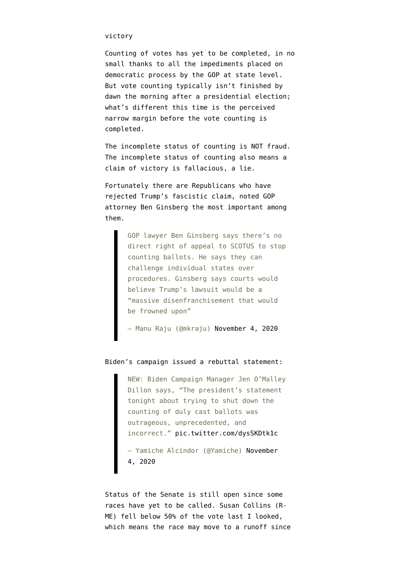## [victory](https://www.washingtonpost.com/politics/presidential-election-hangs-in-the-balance-in-a-country-convulsed-by-crisis/2020/11/04/c2a3ec26-1e17-11eb-90dd-abd0f7086a91_story.html)

Counting of votes has yet to be completed, in no small thanks to all the impediments placed on democratic process by the GOP at state level. But vote counting typically isn't finished by dawn the morning after a presidential election; what's different this time is the perceived narrow margin before the vote counting is completed.

The incomplete status of counting is NOT fraud. The incomplete status of counting also means a claim of victory is fallacious, a lie.

Fortunately there are Republicans who have rejected Trump's fascistic claim, noted [GOP](https://www.washingtonpost.com/opinions/2020/11/01/ben-ginsberg-voter-suppression-republicans/) [attorney Ben Ginsberg](https://www.washingtonpost.com/opinions/2020/11/01/ben-ginsberg-voter-suppression-republicans/) the most important among them.

> GOP lawyer Ben Ginsberg says there's no direct right of appeal to SCOTUS to stop counting ballots. He says they can challenge individual states over procedures. Ginsberg says courts would believe Trump's lawsuit would be a "massive disenfranchisement that would be frowned upon"

— Manu Raju (@mkraju) [November 4, 2020](https://twitter.com/mkraju/status/1323893181696692231?ref_src=twsrc%5Etfw)

## Biden's campaign issued a rebuttal statement:

NEW: Biden Campaign Manager Jen O'Malley Dillon says, "The president's statement tonight about trying to shut down the counting of duly cast ballots was outrageous, unprecedented, and incorrect." [pic.twitter.com/dysSKDtk1c](https://t.co/dysSKDtk1c) — Yamiche Alcindor (@Yamiche) [November](https://twitter.com/Yamiche/status/1323912059474583557?ref_src=twsrc%5Etfw)

[4, 2020](https://twitter.com/Yamiche/status/1323912059474583557?ref_src=twsrc%5Etfw)

Status of the Senate is still open since some races have yet to be called. Susan Collins (R-ME) fell below 50% of the vote last I looked, which means the race may move to a runoff since